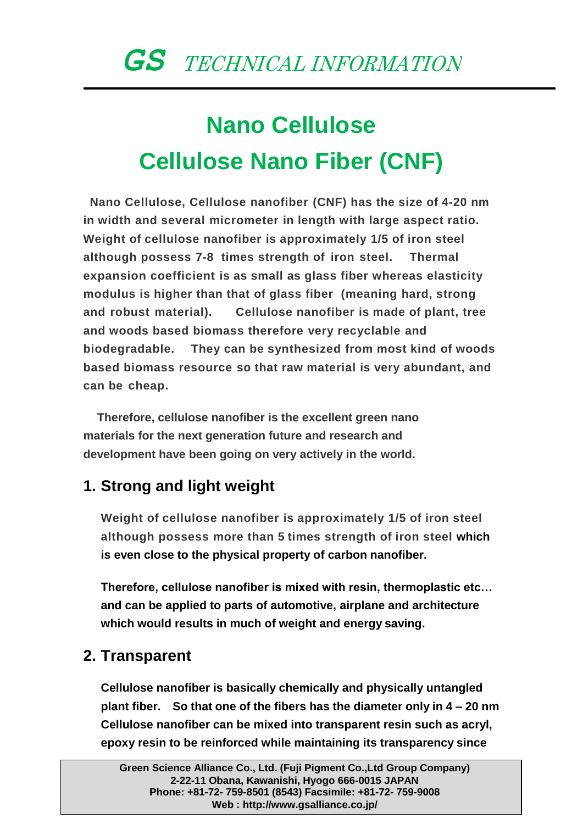# **Nano Cellulose Cellulose Nano Fiber (CNF)**

**Nano Cellulose, Cellulose nanofiber (CNF) has the size of 4-20 nm in width and several micrometer in length with large aspect ratio. Weight of cellulose nanofiber is approximately 1/5 of iron steel although possess 7-8 times strength of iron steel. Thermal expansion coefficient is as small as glass fiber whereas elasticity modulus is higher than that of glass fiber (meaning hard, strong and robust material). Cellulose nanofiber is made of plant, tree and woods based biomass therefore very recyclable and biodegradable. They can be synthesized from most kind of woods based biomass resource so that raw material is very abundant, and can be cheap.**

**Therefore, cellulose nanofiber is the excellent green nano materials for the next generation future and research and development have been going on very actively in the world.**

### **1. Strong and light weight**

**Weight of cellulose nanofiber is approximately 1/5 of iron steel although possess more than 5 times strength of iron steel which is even close to the physical property of carbon nanofiber.**

**Therefore, cellulose nanofiber is mixed with resin, thermoplastic etc… and can be applied to parts of automotive, airplane and architecture which would results in much of weight and energy saving.**

#### **2. Transparent**

**Cellulose nanofiber is basically chemically and physically untangled plant fiber. So that one of the fibers has the diameter only in 4 – 20 nm Cellulose nanofiber can be mixed into transparent resin such as acryl, epoxy resin to be reinforced while maintaining its transparency since**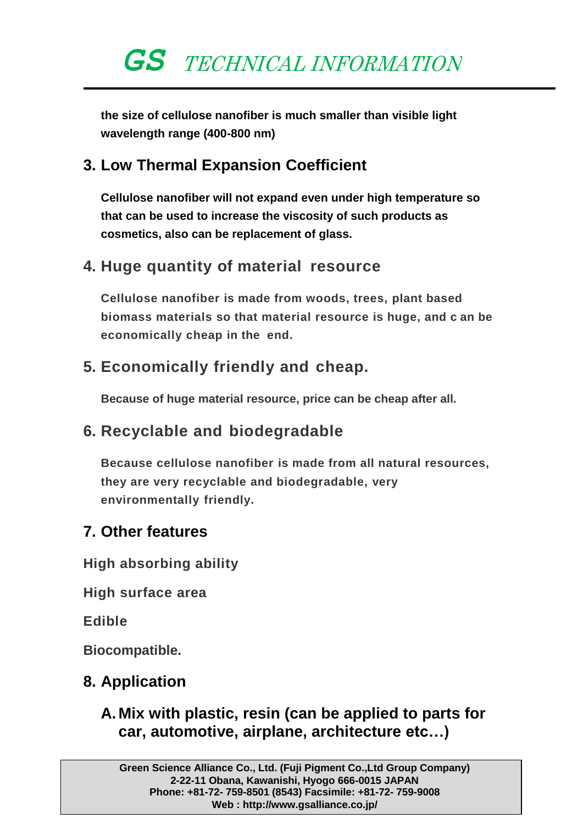**the size of cellulose nanofiber is much smaller than visible light wavelength range (400-800 nm)**

#### **3. Low Thermal Expansion Coefficient**

**Cellulose nanofiber will not expand even under high temperature so that can be used to increase the viscosity of such products as cosmetics, also can be replacement of glass.**

#### **4. Huge quantity of material resource**

**Cellulose nanofiber is made from woods, trees, plant based biomass materials so that material resource is huge, and c an be economically cheap in the end.**

#### **5. Economically friendly and cheap.**

**Because of huge material resource, price can be cheap after all.**

#### **6. Recyclable and biodegradable**

**Because cellulose nanofiber is made from all natural resources, they are very recyclable and biodegradable, very environmentally friendly.**

#### **7. Other features**

**High absorbing ability** 

**High surface area** 

**Edible**

**Biocompatible.**

#### **8. Application**

**A. Mix with plastic, resin (can be applied to parts for car, automotive, airplane, architecture etc…)**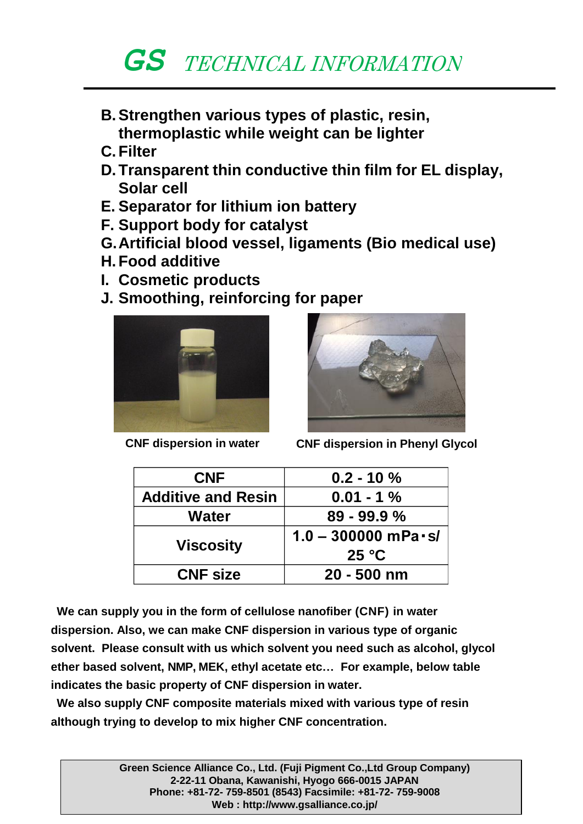- **B.Strengthen various types of plastic, resin, thermoplastic while weight can be lighter**
- **C. Filter**
- **D. Transparent thin conductive thin film for EL display, Solar cell**
- **E. Separator for lithium ion battery**
- **F. Support body for catalyst**
- **G.Artificial blood vessel, ligaments (Bio medical use)**
- **H. Food additive**
- **I. Cosmetic products**
- **J. Smoothing, reinforcing for paper**



**CNF dispersion in water**



**CNF dispersion in Phenyl Glycol**

| <b>CNF</b>                | $0.2 - 10 \%$           |
|---------------------------|-------------------------|
| <b>Additive and Resin</b> | $0.01 - 1%$             |
| Water                     | $89 - 99.9 %$           |
|                           | $1.0 - 300000$ mPa · s/ |
| <b>Viscosity</b>          | 25 °C                   |
| <b>CNF size</b>           | $20 - 500$ nm           |

**We can supply you in the form of cellulose nanofiber (CNF) in water dispersion. Also, we can make CNF dispersion in various type of organic solvent. Please consult with us which solvent you need such as alcohol, glycol ether based solvent, NMP, MEK, ethyl acetate etc… For example, below table indicates the basic property of CNF dispersion in water.**

**We also supply CNF composite materials mixed with various type of resin although trying to develop to mix higher CNF concentration.**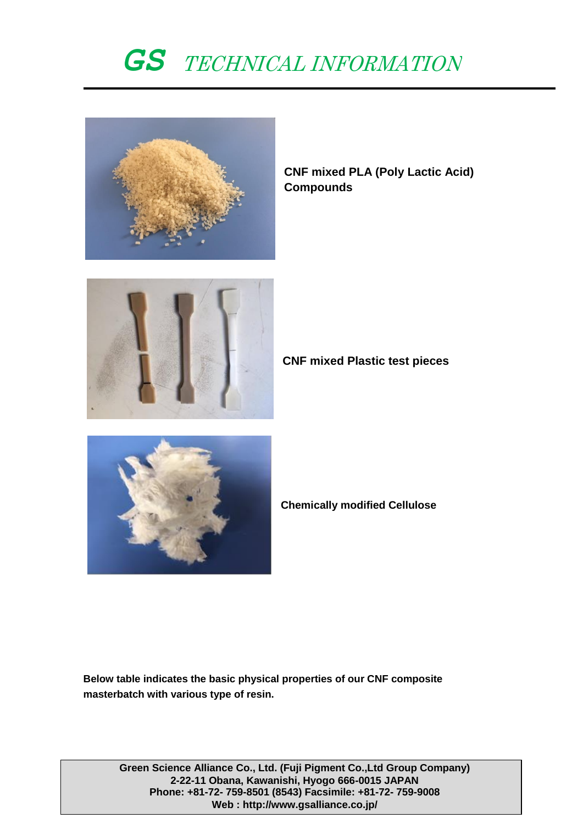

**CNF mixed PLA (Poly Lactic Acid) Compounds**



**CNF mixed Plastic test pieces**



**Chemically modified Cellulose**

**Below table indicates the basic physical properties of our CNF composite masterbatch with various type of resin.**

**Green Science Alliance Co., Ltd. (Fuji Pigment Co.,Ltd Group Company) 2-22-11 Obana, Kawanishi, Hyogo 666-0015 JAPAN Phone: +81-72- 759-8501 (8543) Facsimile: +81-72- 759-9008 Web :<http://www.gsalliance.co.jp/>**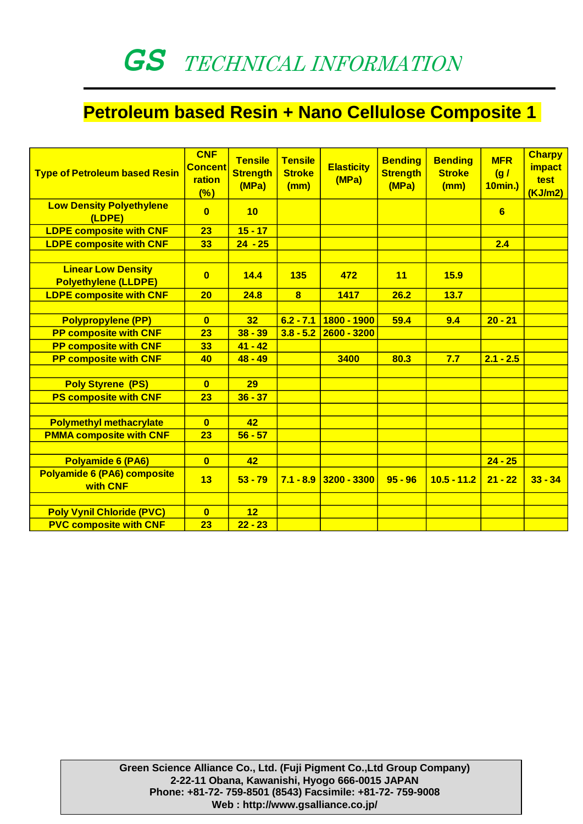### **Petroleum based Resin + Nano Cellulose Composite 1**

| <b>Type of Petroleum based Resin</b>                     | <b>CNF</b><br><b>Concent</b><br>ration<br>$(\%)$ | <b>Tensile</b><br><b>Strength</b><br>(MPa) | <b>Tensile</b><br><b>Stroke</b><br>(mm) | <b>Elasticity</b><br>(MPa) | <b>Bending</b><br><b>Strength</b><br>(MPa) | <b>Bending</b><br><b>Stroke</b><br>(mm) | <b>MFR</b><br>(g/<br><b>10min.)</b> | <b>Charpy</b><br><b>impact</b><br>test<br>(KJ/m2) |
|----------------------------------------------------------|--------------------------------------------------|--------------------------------------------|-----------------------------------------|----------------------------|--------------------------------------------|-----------------------------------------|-------------------------------------|---------------------------------------------------|
| <b>Low Density Polyethylene</b><br>(LDPE)                | $\mathbf{0}$                                     | 10                                         |                                         |                            |                                            |                                         | 6                                   |                                                   |
| <b>LDPE composite with CNF</b>                           | 23                                               | $15 - 17$                                  |                                         |                            |                                            |                                         |                                     |                                                   |
| <b>LDPE composite with CNF</b>                           | 33                                               | $24 - 25$                                  |                                         |                            |                                            |                                         | 2.4                                 |                                                   |
|                                                          |                                                  |                                            |                                         |                            |                                            |                                         |                                     |                                                   |
| <b>Linear Low Density</b><br><b>Polyethylene (LLDPE)</b> | $\mathbf{0}$                                     | 14.4                                       | 135                                     | 472                        | 11                                         | 15.9                                    |                                     |                                                   |
| <b>LDPE composite with CNF</b>                           | 20                                               | 24.8                                       | $\overline{\mathbf{8}}$                 | 1417                       | 26.2                                       | 13.7                                    |                                     |                                                   |
|                                                          |                                                  |                                            |                                         |                            |                                            |                                         |                                     |                                                   |
| <b>Polypropylene (PP)</b>                                | $\mathbf{0}$                                     | 32                                         | $6.2 - 7.1$                             | 1800 - 1900                | 59.4                                       | 9.4                                     | $20 - 21$                           |                                                   |
| <b>PP composite with CNF</b>                             | 23                                               | $38 - 39$                                  | $3.8 - 5.2$                             | $2600 - 3200$              |                                            |                                         |                                     |                                                   |
| <b>PP composite with CNF</b>                             | 33                                               | $41 - 42$                                  |                                         |                            |                                            |                                         |                                     |                                                   |
| <b>PP composite with CNF</b>                             | 40                                               | $48 - 49$                                  |                                         | 3400                       | 80.3                                       | 7.7                                     | $2.1 - 2.5$                         |                                                   |
|                                                          |                                                  |                                            |                                         |                            |                                            |                                         |                                     |                                                   |
| <b>Poly Styrene (PS)</b>                                 | $\mathbf{0}$                                     | 29                                         |                                         |                            |                                            |                                         |                                     |                                                   |
| <b>PS composite with CNF</b>                             | 23                                               | $36 - 37$                                  |                                         |                            |                                            |                                         |                                     |                                                   |
|                                                          |                                                  |                                            |                                         |                            |                                            |                                         |                                     |                                                   |
| <b>Polymethyl methacrylate</b>                           | $\mathbf{0}$                                     | 42                                         |                                         |                            |                                            |                                         |                                     |                                                   |
| <b>PMMA composite with CNF</b>                           | 23                                               | $56 - 57$                                  |                                         |                            |                                            |                                         |                                     |                                                   |
|                                                          |                                                  |                                            |                                         |                            |                                            |                                         |                                     |                                                   |
| Polyamide 6 (PA6)                                        | $\mathbf{0}$                                     | 42                                         |                                         |                            |                                            |                                         | $24 - 25$                           |                                                   |
| Polyamide 6 (PA6) composite<br>with CNF                  | 13                                               | $53 - 79$                                  | $7.1 - 8.9$                             | 3200 - 3300                | $95 - 96$                                  | $10.5 - 11.2$                           | $21 - 22$                           | $33 - 34$                                         |
|                                                          |                                                  |                                            |                                         |                            |                                            |                                         |                                     |                                                   |
| <b>Poly Vynil Chloride (PVC)</b>                         | $\mathbf{0}$                                     | 12                                         |                                         |                            |                                            |                                         |                                     |                                                   |
| <b>PVC composite with CNF</b>                            | 23                                               | $22 - 23$                                  |                                         |                            |                                            |                                         |                                     |                                                   |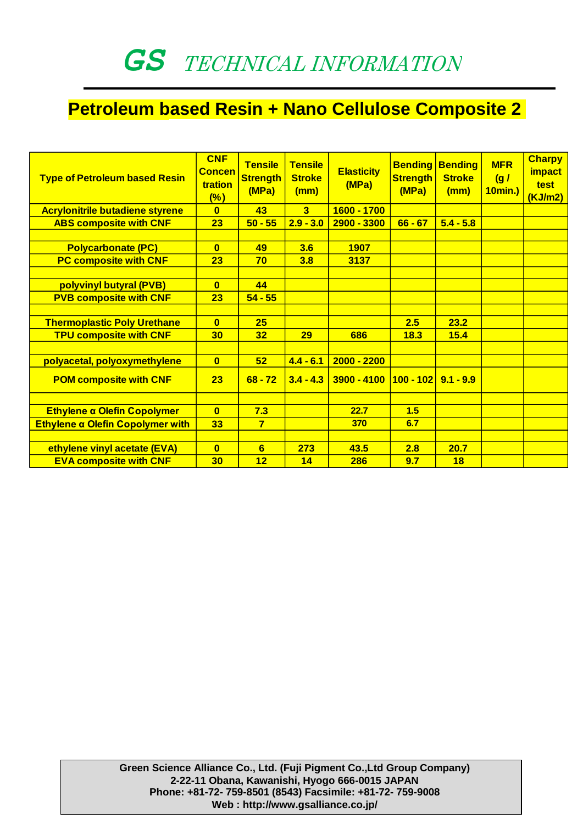### **Petroleum based Resin + Nano Cellulose Composite 2**

| <b>Type of Petroleum based Resin</b>   | <b>CNF</b><br><b>Concen</b><br>tration<br>(%) | <b>Tensile</b><br><b>Strength</b><br>(MPa) | <b>Tensile</b><br><b>Stroke</b><br>(mm) | <b>Elasticity</b><br>(MPa)            | <b>Bending</b><br><b>Strength</b><br>(MPa) | <b>Bending</b><br><b>Stroke</b><br>(mm) | <b>MFR</b><br>(g/<br>10min.) | <b>Charpy</b><br><i>impact</i><br>test<br>(KJ/m2) |
|----------------------------------------|-----------------------------------------------|--------------------------------------------|-----------------------------------------|---------------------------------------|--------------------------------------------|-----------------------------------------|------------------------------|---------------------------------------------------|
| <b>Acrylonitrile butadiene styrene</b> | $\mathbf{0}$                                  | 43                                         | $\overline{\mathbf{3}}$                 | 1600 - 1700                           |                                            |                                         |                              |                                                   |
| <b>ABS composite with CNF</b>          | 23                                            | $50 - 55$                                  | $2.9 - 3.0$                             | 2900 - 3300                           | $66 - 67$                                  | $5.4 - 5.8$                             |                              |                                                   |
|                                        |                                               |                                            |                                         |                                       |                                            |                                         |                              |                                                   |
| <b>Polycarbonate (PC)</b>              | $\bf{0}$                                      | 49                                         | 3.6                                     | 1907                                  |                                            |                                         |                              |                                                   |
| <b>PC composite with CNF</b>           | 23                                            | 70                                         | 3.8                                     | 3137                                  |                                            |                                         |                              |                                                   |
|                                        |                                               |                                            |                                         |                                       |                                            |                                         |                              |                                                   |
| polyvinyl butyral (PVB)                | $\mathbf{0}$                                  | 44                                         |                                         |                                       |                                            |                                         |                              |                                                   |
| <b>PVB composite with CNF</b>          | 23                                            | $54 - 55$                                  |                                         |                                       |                                            |                                         |                              |                                                   |
|                                        |                                               |                                            |                                         |                                       |                                            |                                         |                              |                                                   |
| <b>Thermoplastic Poly Urethane</b>     | $\mathbf{0}$                                  | 25                                         |                                         |                                       | 2.5                                        | 23.2                                    |                              |                                                   |
| <b>TPU composite with CNF</b>          | 30                                            | 32                                         | 29                                      | 686                                   | 18.3                                       | 15.4                                    |                              |                                                   |
|                                        |                                               |                                            |                                         |                                       |                                            |                                         |                              |                                                   |
| polyacetal, polyoxymethylene           | $\overline{0}$                                | 52                                         | $4.4 - 6.1$                             | $2000 - 2200$                         |                                            |                                         |                              |                                                   |
| <b>POM composite with CNF</b>          | 23                                            | $68 - 72$                                  | $3.4 - 4.3$                             | $3900 - 4100$   100 - 102   9.1 - 9.9 |                                            |                                         |                              |                                                   |
|                                        |                                               |                                            |                                         |                                       |                                            |                                         |                              |                                                   |
| Ethylene a Olefin Copolymer            | $\mathbf{0}$                                  | 7.3                                        |                                         | 22.7                                  | 1.5                                        |                                         |                              |                                                   |
| Ethylene a Olefin Copolymer with       | 33                                            | $\overline{7}$                             |                                         | 370                                   | 6.7                                        |                                         |                              |                                                   |
|                                        |                                               |                                            |                                         |                                       |                                            |                                         |                              |                                                   |
| ethylene vinyl acetate (EVA)           | $\mathbf{0}$                                  | 6                                          | 273                                     | 43.5                                  | 2.8                                        | 20.7                                    |                              |                                                   |
| <b>EVA composite with CNF</b>          | 30                                            | 12                                         | 14                                      | 286                                   | 9.7                                        | 18                                      |                              |                                                   |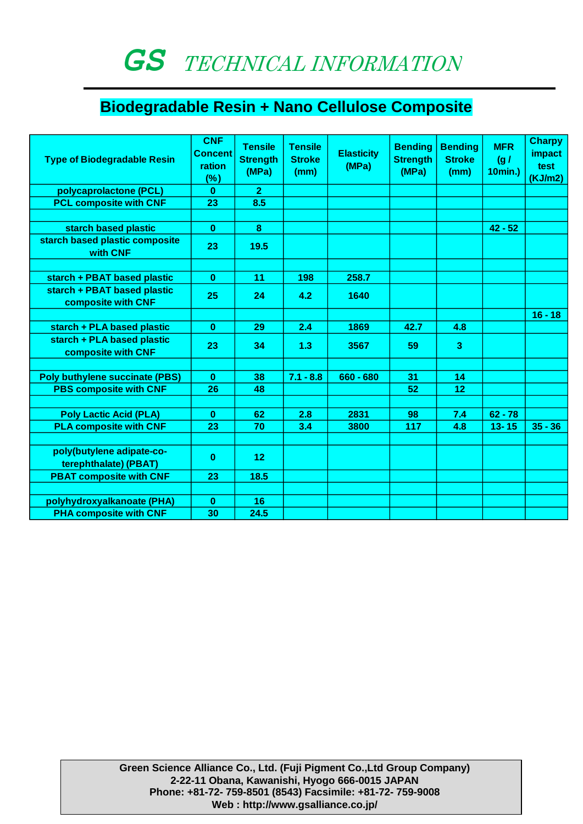### **Biodegradable Resin + Nano Cellulose Composite**

| <b>Type of Biodegradable Resin</b>                 | <b>CNF</b><br><b>Concent</b><br>ration<br>$(\%)$ | <b>Tensile</b><br><b>Strength</b><br>(MPa) | <b>Tensile</b><br><b>Stroke</b><br>(mm) | <b>Elasticity</b><br>(MPa) | <b>Bending</b><br><b>Strength</b><br>(MPa) | <b>Bending</b><br><b>Stroke</b><br>(mm) | <b>MFR</b><br>(g/<br>10min.) | <b>Charpy</b><br>impact<br>test<br>(KJ/m2) |
|----------------------------------------------------|--------------------------------------------------|--------------------------------------------|-----------------------------------------|----------------------------|--------------------------------------------|-----------------------------------------|------------------------------|--------------------------------------------|
| polycaprolactone (PCL)                             | $\bf{0}$                                         | $\overline{2}$                             |                                         |                            |                                            |                                         |                              |                                            |
| <b>PCL composite with CNF</b>                      | 23                                               | 8.5                                        |                                         |                            |                                            |                                         |                              |                                            |
|                                                    |                                                  |                                            |                                         |                            |                                            |                                         |                              |                                            |
| starch based plastic                               | $\bf{0}$                                         | 8                                          |                                         |                            |                                            |                                         | $42 - 52$                    |                                            |
| starch based plastic composite<br>with CNF         | 23                                               | 19.5                                       |                                         |                            |                                            |                                         |                              |                                            |
|                                                    |                                                  |                                            |                                         |                            |                                            |                                         |                              |                                            |
| starch + PBAT based plastic                        | $\bf{0}$                                         | 11                                         | 198                                     | 258.7                      |                                            |                                         |                              |                                            |
| starch + PBAT based plastic<br>composite with CNF  | 25                                               | 24                                         | 4.2                                     | 1640                       |                                            |                                         |                              |                                            |
|                                                    |                                                  |                                            |                                         |                            |                                            |                                         |                              | $16 - 18$                                  |
| starch + PLA based plastic                         | $\bf{0}$                                         | 29                                         | 2.4                                     | 1869                       | 42.7                                       | 4.8                                     |                              |                                            |
| starch + PLA based plastic<br>composite with CNF   | 23                                               | 34                                         | 1.3                                     | 3567                       | 59                                         | 3                                       |                              |                                            |
|                                                    |                                                  |                                            |                                         |                            |                                            |                                         |                              |                                            |
| <b>Poly buthylene succinate (PBS)</b>              | $\mathbf{0}$                                     | 38                                         | $7.1 - 8.8$                             | 660 - 680                  | 31                                         | 14                                      |                              |                                            |
| <b>PBS composite with CNF</b>                      | 26                                               | 48                                         |                                         |                            | 52                                         | 12                                      |                              |                                            |
|                                                    |                                                  |                                            |                                         |                            |                                            |                                         |                              |                                            |
| <b>Poly Lactic Acid (PLA)</b>                      | $\bf{0}$                                         | 62                                         | 2.8                                     | 2831                       | 98                                         | 7.4                                     | $62 - 78$                    |                                            |
| <b>PLA composite with CNF</b>                      | 23                                               | 70                                         | 3.4                                     | 3800                       | 117                                        | 4.8                                     | $13 - 15$                    | $35 - 36$                                  |
|                                                    |                                                  |                                            |                                         |                            |                                            |                                         |                              |                                            |
| poly(butylene adipate-co-<br>terephthalate) (PBAT) | $\bf{0}$                                         | 12                                         |                                         |                            |                                            |                                         |                              |                                            |
| <b>PBAT composite with CNF</b>                     | 23                                               | 18.5                                       |                                         |                            |                                            |                                         |                              |                                            |
|                                                    |                                                  |                                            |                                         |                            |                                            |                                         |                              |                                            |
| polyhydroxyalkanoate (PHA)                         | $\bf{0}$                                         | 16                                         |                                         |                            |                                            |                                         |                              |                                            |
| <b>PHA composite with CNF</b>                      | 30                                               | 24.5                                       |                                         |                            |                                            |                                         |                              |                                            |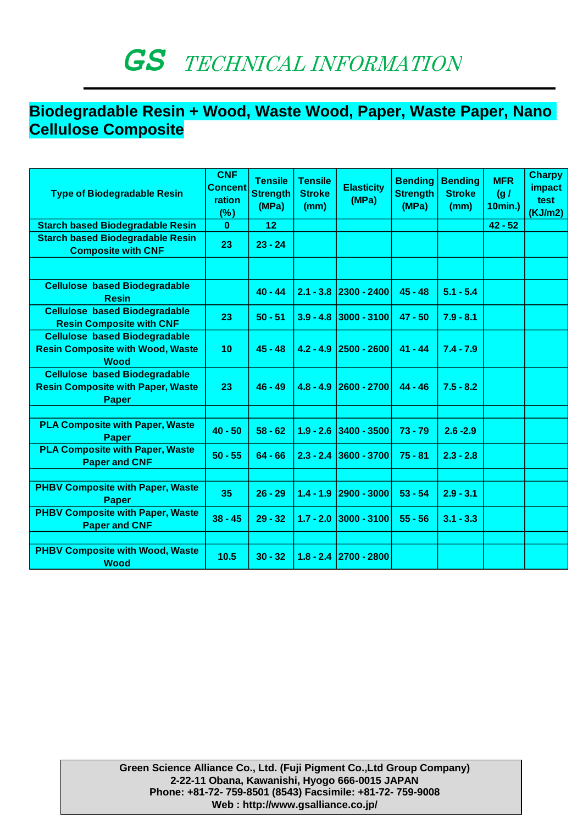#### **Biodegradable Resin + Wood, Waste Wood, Paper, Waste Paper, Nano Cellulose Composite**

| <b>Type of Biodegradable Resin</b>                                                               | <b>CNF</b><br><b>Concent</b><br>ration<br>$(\%)$ | <b>Tensile</b><br><b>Strength</b><br>(MPa) | <b>Tensile</b><br><b>Stroke</b><br>(mm) | <b>Elasticity</b><br>(MPa) | <b>Bending</b><br><b>Strength</b><br>(MPa) | <b>Bending</b><br><b>Stroke</b><br>(mm) | <b>MFR</b><br>(g/<br>10min.) | <b>Charpy</b><br><b>impact</b><br>test<br>(KJ/m2) |
|--------------------------------------------------------------------------------------------------|--------------------------------------------------|--------------------------------------------|-----------------------------------------|----------------------------|--------------------------------------------|-----------------------------------------|------------------------------|---------------------------------------------------|
| <b>Starch based Biodegradable Resin</b>                                                          | $\bf{0}$                                         | 12                                         |                                         |                            |                                            |                                         | $42 - 52$                    |                                                   |
| <b>Starch based Biodegradable Resin</b><br><b>Composite with CNF</b>                             | 23                                               | $23 - 24$                                  |                                         |                            |                                            |                                         |                              |                                                   |
|                                                                                                  |                                                  |                                            |                                         |                            |                                            |                                         |                              |                                                   |
| <b>Cellulose based Biodegradable</b><br><b>Resin</b>                                             |                                                  | $40 - 44$                                  |                                         | $2.1 - 3.8$ 2300 - 2400    | $45 - 48$                                  | $5.1 - 5.4$                             |                              |                                                   |
| <b>Cellulose based Biodegradable</b><br><b>Resin Composite with CNF</b>                          | 23                                               | $50 - 51$                                  | $3.9 - 4.8$                             | $ 3000 - 3100 $            | $47 - 50$                                  | $7.9 - 8.1$                             |                              |                                                   |
| <b>Cellulose based Biodegradable</b><br><b>Resin Composite with Wood, Waste</b><br><b>Wood</b>   | 10                                               | $45 - 48$                                  | $4.2 - 4.9$                             | $ 2500 - 2600 $            | $41 - 44$                                  | $7.4 - 7.9$                             |                              |                                                   |
| <b>Cellulose based Biodegradable</b><br><b>Resin Composite with Paper, Waste</b><br><b>Paper</b> | 23                                               | $46 - 49$                                  | $4.8 - 4.9$                             | $ 2600 - 2700 $            | $44 - 46$                                  | $7.5 - 8.2$                             |                              |                                                   |
|                                                                                                  |                                                  |                                            |                                         |                            |                                            |                                         |                              |                                                   |
| <b>PLA Composite with Paper, Waste</b><br><b>Paper</b>                                           | $40 - 50$                                        | $58 - 62$                                  | $1.9 - 2.6$                             | $ 3400 - 3500 $            | $73 - 79$                                  | $2.6 - 2.9$                             |                              |                                                   |
| <b>PLA Composite with Paper, Waste</b><br><b>Paper and CNF</b>                                   | $50 - 55$                                        | $64 - 66$                                  | $2.3 - 2.4$                             | 3600 - 3700                | $75 - 81$                                  | $2.3 - 2.8$                             |                              |                                                   |
|                                                                                                  |                                                  |                                            |                                         |                            |                                            |                                         |                              |                                                   |
| <b>PHBV Composite with Paper, Waste</b><br><b>Paper</b>                                          | 35                                               | $26 - 29$                                  | $1.4 - 1.9$                             | $ 2900 - 3000 $            | $53 - 54$                                  | $2.9 - 3.1$                             |                              |                                                   |
| <b>PHBV Composite with Paper, Waste</b><br><b>Paper and CNF</b>                                  | $38 - 45$                                        | $29 - 32$                                  | $1.7 - 2.0$                             | $ 3000 - 3100 $            | $55 - 56$                                  | $3.1 - 3.3$                             |                              |                                                   |
|                                                                                                  |                                                  |                                            |                                         |                            |                                            |                                         |                              |                                                   |
| <b>PHBV Composite with Wood, Waste</b><br><b>Wood</b>                                            | 10.5                                             | $30 - 32$                                  | $1.8 - 2.4$                             | $ 2700 - 2800 $            |                                            |                                         |                              |                                                   |

**Green Science Alliance Co., Ltd. (Fuji Pigment Co.,Ltd Group Company) 2-22-11 Obana, Kawanishi, Hyogo 666-0015 JAPAN Phone: +81-72- 759-8501 (8543) Facsimile: +81-72- 759-9008 Web :<http://www.gsalliance.co.jp/>**